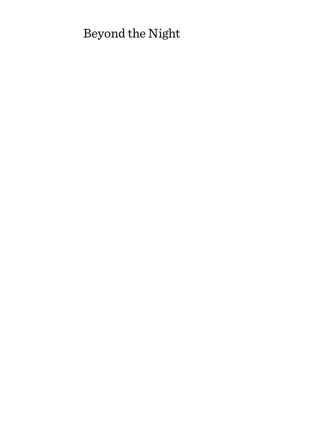# Beyond the Night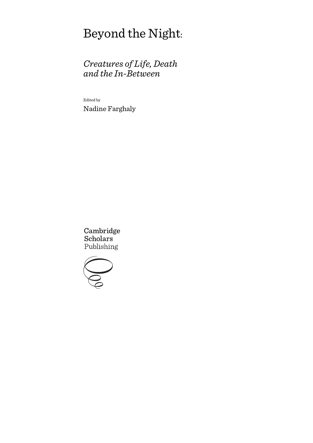# Beyond the Night:

# *Creatures of Life, Death and the In-Between*

Edited by Nadine Farghaly

Cambridge **Scholars** Publishing

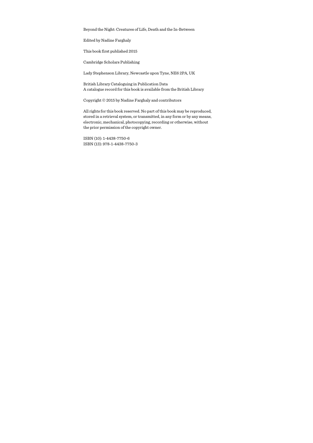Beyond the Night: Creatures of Life, Death and the In-Between

Edited by Nadine Farghaly

This book first published 2015

Cambridge Scholars Publishing

Lady Stephenson Library, Newcastle upon Tyne, NE6 2PA, UK

British Library Cataloguing in Publication Data A catalogue record for this book is available from the British Library

Copyright © 2015 by Nadine Farghaly and contributors

All rights for this book reserved. No part of this book may be reproduced, stored in a retrieval system, or transmitted, in any form or by any means, electronic, mechanical, photocopying, recording or otherwise, without the prior permission of the copyright owner.

ISBN (10): 1-4438-7750-6 ISBN (13): 978-1-4438-7750-3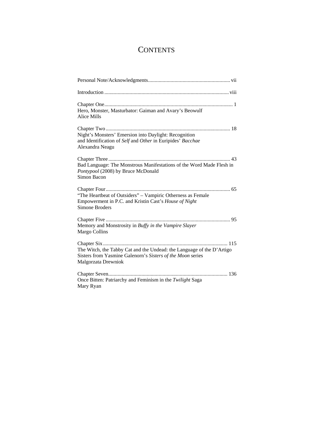# **CONTENTS**

| Hero, Monster, Masturbator: Gaiman and Avary's Beowulf<br>Alice Mills                                                                                      |
|------------------------------------------------------------------------------------------------------------------------------------------------------------|
| Night's Monsters' Emersion into Daylight: Recognition<br>and Identification of Self and Other in Euripides' Bacchae<br>Alexandra Neagu                     |
| Bad Language: The Monstrous Manifestations of the Word Made Flesh in<br>Pontypool (2008) by Bruce McDonald<br>Simon Bacon                                  |
| "The Heartbeat of Outsiders" - Vampiric Otherness as Female<br>Empowerment in P.C. and Kristin Cast's House of Night<br><b>Simone Broders</b>              |
| Memory and Monstrosity in Buffy in the Vampire Slayer<br>Margo Collins                                                                                     |
| The Witch, the Tabby Cat and the Undead: the Language of the D'Artigo<br>Sisters from Yasmine Galenorn's Sisters of the Moon series<br>Malgorzata Drewniok |
| Once Bitten: Patriarchy and Feminism in the Twilight Saga<br>Mary Ryan                                                                                     |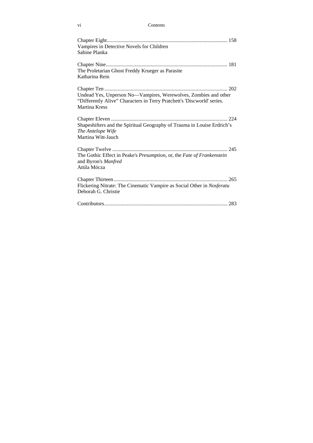| Contents |
|----------|
|          |

| Vampires in Detective Novels for Children<br>Sabine Planka                                                                                                         |
|--------------------------------------------------------------------------------------------------------------------------------------------------------------------|
| The Proletarian Ghost Freddy Krueger as Parasite<br>Katharina Rein                                                                                                 |
| Undead Yes, Unperson No-Vampires, Werewolves, Zombies and other<br>"Differently Alive" Characters in Terry Pratchett's 'Discworld' series.<br><b>Martina Kress</b> |
| Shapeshifters and the Spiritual Geography of Trauma in Louise Erdrich's<br>The Antelope Wife<br>Martina Witt-Jauch                                                 |
| The Gothic Effect in Peake's Presumption, or, the Fate of Frankenstein<br>and Byron's Manfred<br>Attila Mócza                                                      |
| Flickering Nitrate: The Cinematic Vampire as Social Other in Nosferatu<br>Deborah G. Christie                                                                      |
|                                                                                                                                                                    |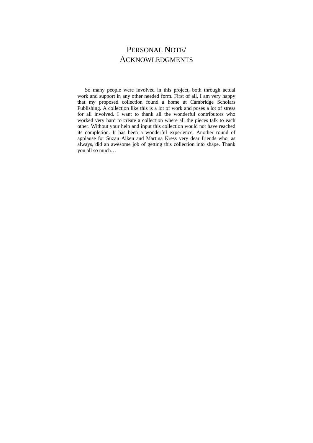## PERSONAL NOTE/ ACKNOWLEDGMENTS

So many people were involved in this project, both through actual work and support in any other needed form. First of all, I am very happy that my proposed collection found a home at Cambridge Scholars Publishing. A collection like this is a lot of work and poses a lot of stress for all involved. I want to thank all the wonderful contributors who worked very hard to create a collection where all the pieces talk to each other. Without your help and input this collection would not have reached its completion. It has been a wonderful experience. Another round of applause for Suzan Aiken and Martina Kress very dear friends who, as always, did an awesome job of getting this collection into shape. Thank you all so much…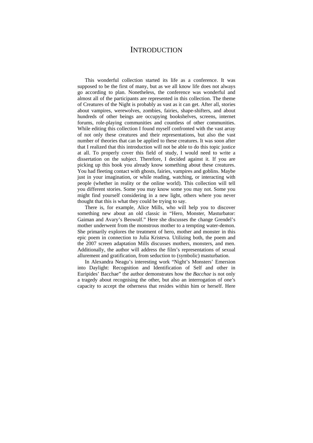#### **INTRODUCTION**

This wonderful collection started its life as a conference. It was supposed to be the first of many, but as we all know life does not always go according to plan. Nonetheless, the conference was wonderful and almost all of the participants are represented in this collection. The theme of Creatures of the Night is probably as vast as it can get. After all, stories about vampires, werewolves, zombies, fairies, shape-shifters, and about hundreds of other beings are occupying bookshelves, screens, internet forums, role-playing communities and countless of other communities. While editing this collection I found myself confronted with the vast array of not only these creatures and their representations, but also the vast number of theories that can be applied to these creatures. It was soon after that I realized that this introduction will not be able to do this topic justice at all. To properly cover this field of study, I would need to write a dissertation on the subject. Therefore, I decided against it. If you are picking up this book you already know something about these creatures. You had fleeting contact with ghosts, fairies, vampires and goblins. Maybe just in your imagination, or while reading, watching, or interacting with people (whether in reality or the online world). This collection will tell you different stories. Some you may know some you may not. Some you might find yourself considering in a new light, others where you never thought that this is what they could be trying to say.

There is, for example, Alice Mills, who will help you to discover something new about an old classic in "Hero, Monster, Masturbator: Gaiman and Avary's Beowulf." Here she discusses the change Grendel's mother underwent from the monstrous mother to a tempting water-demon. She primarily explores the treatment of hero, mother and monster in this epic poem in connection to Julia Kristeva. Utilizing both, the poem and the 2007 screen adaptation Mills discusses mothers, monsters, and men. Additionally, the author will address the film's representations of sexual allurement and gratification, from seduction to (symbolic) masturbation.

In Alexandra Neagu's interesting work "Night's Monsters' Emersion into Daylight: Recognition and Identification of Self and other in Euripides' Bacchae" the author demonstrates how the *Bacchae* is not only a tragedy about recognising the other, but also an interrogation of one's capacity to accept the otherness that resides within him or herself. Here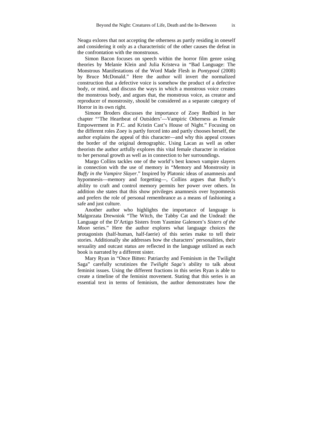Neagu exlores that not accepting the otherness as partly residing in oneself and considering it only as a characteristic of the other causes the defeat in the confrontation with the monstruous.

Simon Bacon focuses on speech within the horror film genre using theories by Melanie Klein and Julia Kristeva in "Bad Language: The Monstrous Manifestations of the Word Made Flesh in *Pontypool* (2008) by Bruce McDonald." Here the author will invert the normalized construction that a defective voice is somehow the product of a defective body, or mind, and discuss the ways in which a monstrous voice creates the monstrous body, and argues that, the monstrous voice, as creator and reproducer of monstrosity, should be considered as a separate category of Horror in its own right.

Simone Broders discusses the importance of Zoey Redbird in her chapter "'The Heartbeat of Outsiders'—Vampiric Otherness as Female Empowerment in P.C. and Kristin Cast's House of Night." Focusing on the different roles Zoey is partly forced into and partly chooses herself, the author explains the appeal of this character—and why this appeal crosses the border of the original demographic. Using Lacan as well as other theorists the author artfully explores this vital female character in relation to her personal growth as well as in connection to her surroundings.

Margo Collins tackles one of the world's best known vampire slayers in connection with the use of memory in "Memory and Monstrosity in *Buffy in the Vampire Slayer*." Inspired by Platonic ideas of anamnesis and hypomnesis—memory and forgetting—, Collins argues that Buffy's ability to craft and control memory permits her power over others. In addition she states that this show privileges anamnesis over hypomnesis and prefers the role of personal remembrance as a means of fashioning a safe and just culture.

Another author who highlights the importance of language is Malgorzata Drewniok "The Witch, the Tabby Cat and the Undead: the Language of the D'Artigo Sisters from Yasmine Galenorn's *Sisters of the Moon* series." Here the author explores what language choices the protagonists (half-human, half-faerie) of this series make to tell their stories. Additionally she addresses how the characters' personalities, their sexuality and outcast status are reflected in the language utilized as each book is narrated by a different sister.

Mary Ryan in "Once Bitten: Patriarchy and Feminism in the Twilight Saga" carefully scrutinizes the *Twilight Saga's* ability to talk about feminist issues. Using the different fractions in this series Ryan is able to create a timeline of the feminist movement. Stating that this series is an essential text in terms of feminism, the author demonstrates how the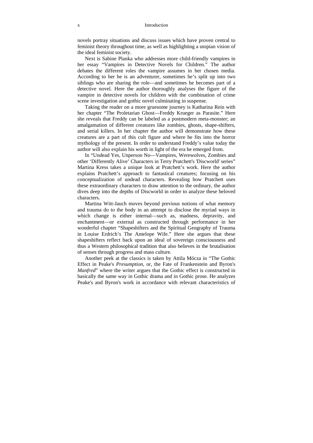novels portray situations and discuss issues which have proven central to feminist theory throughout time, as well as highlighting a utopian vision of the ideal feminist society.

Next is Sabine Planka who addresses more child-friendly vampires in her essay "Vampires in Detective Novels for Children." The author debates the different roles the vampire assumes in her chosen media. According to her he is an adventurer, sometimes he's split up into two siblings who are sharing the role—and sometimes he becomes part of a detective novel. Here the author thoroughly analyses the figure of the vampire in detective novels for children with the combination of crime scene investigation and gothic novel culminating in suspense.

Taking the reader on a more gruesome journey is Katharina Rein with her chapter "The Proletarian Ghost—Freddy Krueger as Parasite." Here she reveals that Freddy can be labeled as a postmodern meta-monster; an amalgamation of different creatures like zombies, ghosts, shape-shifters, and serial killers. In her chapter the author will demonstrate how these creatures are a part of this cult figure and where he fits into the horror mythology of the present. In order to understand Freddy's value today the author will also explain his worth in light of the era he emerged from.

In "Undead Yes, Unperson No—Vampires, Werewolves, Zombies and other 'Differently Alive' Characters in Terry Pratchett's 'Discworld' series" Martina Kress takes a unique look at Pratchett's work. Here the author explains Pratchett's approach to fantastical creatures; focusing on his conceptualization of undead characters. Revealing how Pratchett uses these extraordinary characters to draw attention to the ordinary, the author dives deep into the depths of Discworld in order to analyze these beloved characters.

Martina Witt-Jauch moves beyond previous notions of what memory and trauma do to the body in an attempt to disclose the myriad ways in which change is either internal—such as, madness, depravity, and enchantment—or external as constructed through performance in her wonderful chapter "Shapeshifters and the Spiritual Geography of Trauma in Louise Erdrich's The Antelope Wife." Here she argues that these shapeshifters reflect back upon an ideal of sovereign consciousness and thus a Western philosophical tradition that also believes in the brutalisation of senses through progress and mass culture.

Another peek at the classics is taken by Attila Mócza in "The Gothic Effect in Peake's *Presumption*, or, the Fate of Frankenstein and Byron's *Manfred*" where the writer argues that the Gothic effect is constructed in basically the same way in Gothic drama and in Gothic prose. He analyzes Peake's and Byron's work in accordance with relevant characteristics of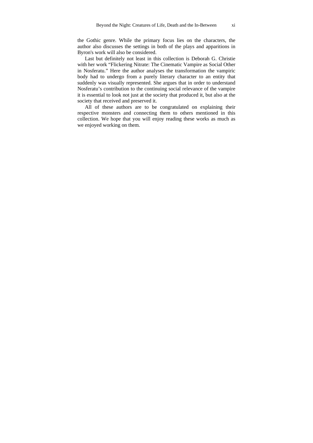the Gothic genre. While the primary focus lies on the characters, the author also discusses the settings in both of the plays and apparitions in Byron's work will also be considered.

Last but definitely not least in this collection is Deborah G. Christie with her work "Flickering Nitrate: The Cinematic Vampire as Social Other in Nosferatu." Here the author analyses the transformation the vampiric body had to undergo from a purely literary character to an entity that suddenly was visually represented. She argues that in order to understand Nosferatu's contribution to the continuing social relevance of the vampire it is essential to look not just at the society that produced it, but also at the society that received and preserved it.

All of these authors are to be congratulated on explaining their respective monsters and connecting them to others mentioned in this collection. We hope that you will enjoy reading these works as much as we enjoyed working on them.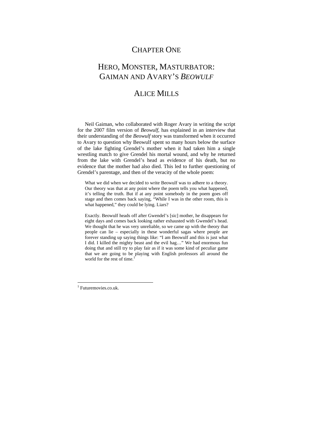### CHAPTER ONE

## HERO, MONSTER, MASTURBATOR: GAIMAN AND AVARY'S *BEOWULF*

### ALICE MILLS

Neil Gaiman, who collaborated with Roger Avary in writing the script for the 2007 film version of *Beowulf*, has explained in an interview that their understanding of the *Beowulf* story was transformed when it occurred to Avary to question why Beowulf spent so many hours below the surface of the lake fighting Grendel's mother when it had taken him a single wrestling match to give Grendel his mortal wound, and why he returned from the lake with Grendel's head as evidence of his death, but no evidence that the mother had also died. This led to further questioning of Grendel's parentage, and then of the veracity of the whole poem:

What we did when we decided to write Beowulf was to adhere to a theory. Our theory was that at any point where the poem tells you what happened, it's telling the truth. But if at any point somebody in the poem goes off stage and then comes back saying, "While I was in the other room, this is what happened," they could be lying. Liars?

Exactly. Beowulf heads off after Gwendel's [sic] mother, he disappears for eight days and comes back looking rather exhausted with Gwendel's head. We thought that he was very unreliable, so we came up with the theory that people can lie – especially in these wonderful sagas where people are forever standing up saying things like: "I am Beowulf and this is just what I did. I killed the mighty beast and the evil hag…" We had enormous fun doing that and still try to play fair as if it was some kind of peculiar game that we are going to be playing with English professors all around the world for the rest of time.<sup>1</sup>

 $\overline{a}$ 

<sup>&</sup>lt;sup>1</sup> Futuremovies.co.uk.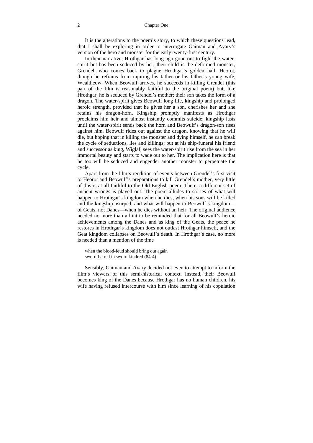It is the alterations to the poem's story, to which these questions lead, that I shall be exploring in order to interrogate Gaiman and Avary's version of the hero and monster for the early twenty-first century.

In their narrative, Hrothgar has long ago gone out to fight the waterspirit but has been seduced by her; their child is the deformed monster, Grendel, who comes back to plague Hrothgar's golden hall, Heorot, though he refrains from injuring his father or his father's young wife, Wealtheow. When Beowulf arrives, he succeeds in killing Grendel (this part of the film is reasonably faithful to the original poem) but, like Hrothgar, he is seduced by Grendel's mother; their son takes the form of a dragon. The water-spirit gives Beowulf long life, kingship and prolonged heroic strength, provided that he gives her a son, cherishes her and she retains his dragon-horn. Kingship promptly manifests as Hrothgar proclaims him heir and almost instantly commits suicide; kingship lasts until the water-spirit sends back the horn and Beowulf's dragon-son rises against him. Beowulf rides out against the dragon, knowing that he will die, but hoping that in killing the monster and dying himself, he can break the cycle of seductions, lies and killings; but at his ship-funeral his friend and successor as king, Wiglaf, sees the water-spirit rise from the sea in her immortal beauty and starts to wade out to her. The implication here is that he too will be seduced and engender another monster to perpetuate the cycle.

Apart from the film's rendition of events between Grendel's first visit to Heorot and Beowulf's preparations to kill Grendel's mother, very little of this is at all faithful to the Old English poem. There, a different set of ancient wrongs is played out. The poem alludes to stories of what will happen to Hrothgar's kingdom when he dies, when his sons will be killed and the kingship usurped, and what will happen to Beowulf's kingdom of Geats, not Danes—when he dies without an heir. The original audience needed no more than a hint to be reminded that for all Beowulf's heroic achievements among the Danes and as king of the Geats, the peace he restores in Hrothgar's kingdom does not outlast Hrothgar himself, and the Geat kingdom collapses on Beowulf's death. In Hrothgar's case, no more is needed than a mention of the time

when the blood-feud should bring out again sword-hatred in sworn kindred (84-4)

Sensibly, Gaiman and Avary decided not even to attempt to inform the film's viewers of this semi-historical context. Instead, their Beowulf becomes king of the Danes because Hrothgar has no human children, his wife having refused intercourse with him since learning of his copulation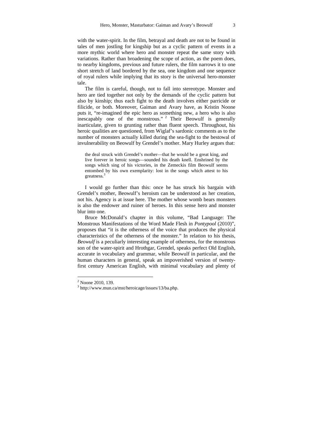with the water-spirit. In the film, betrayal and death are not to be found in tales of men jostling for kingship but as a cyclic pattern of events in a more mythic world where hero and monster repeat the same story with variations. Rather than broadening the scope of action, as the poem does, to nearby kingdoms, previous and future rulers, the film narrows it to one short stretch of land bordered by the sea, one kingdom and one sequence of royal rulers while implying that its story is the universal hero-monster tale.

The film is careful, though, not to fall into stereotype. Monster and hero are tied together not only by the demands of the cyclic pattern but also by kinship; thus each fight to the death involves either parricide or filicide, or both. Moreover, Gaiman and Avary have, as Kristin Noone puts it, "re-imagined the epic hero as something new, a hero who is also inescapably one of the monstrous." <sup>2</sup> Their Beowulf is generally inarticulate, given to grunting rather than fluent speech. Throughout, his heroic qualities are questioned, from Wiglaf's sardonic comments as to the number of monsters actually killed during the sea-fight to the bestowal of invulnerability on Beowulf by Grendel's mother. Mary Hurley argues that:

the deal struck with Grendel's mother—that he would be a great king, and live forever in heroic songs—sounded his death knell. Enshrined by the songs which sing of his victories, in the Zemeckis film Beowulf seems entombed by his own exemplarity: lost in the songs which attest to his greatness.<sup>3</sup>

I would go further than this: once he has struck his bargain with Grendel's mother, Beowulf's heroism can be understood as her creation, not his. Agency is at issue here. The mother whose womb bears monsters is also the endower and ruiner of heroes. In this sense hero and monster blur into one.

Bruce McDonald's chapter in this volume, "Bad Language: The Monstrous Manifestations of the Word Made Flesh in *Pontypool* (2010)", proposes that "it is the otherness of the voice that produces the physical characteristics of the otherness of the monster." In relation to his thesis, *Beowulf* is a peculiarly interesting example of otherness, for the monstrous son of the water-spirit and Hrothgar, Grendel, speaks perfect Old English, accurate in vocabulary and grammar, while Beowulf in particular, and the human characters in general, speak an impoverished version of twentyfirst century American English, with minimal vocabulary and plenty of

 $\overline{a}$ 

 $2$  Noone 2010, 139.

<sup>3</sup> http://www.mun.ca/mst/heroicage/issues/13/ba.php.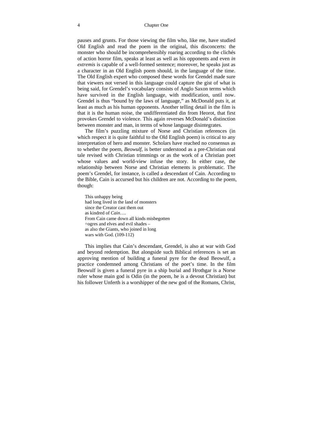#### 4 Chapter One

pauses and grunts. For those viewing the film who, like me, have studied Old English and read the poem in the original, this disconcerts: the monster who should be incomprehensibly roaring according to the clichés of action horror film, speaks at least as well as his opponents and even *in extremis* is capable of a well-formed sentence; moreover, he speaks just as a character in an Old English poem should, in the language of the time. The Old English expert who composed these words for Grendel made sure that viewers not versed in this language could capture the gist of what is being said, for Grendel's vocabulary consists of Anglo Saxon terms which have survived in the English language, with modification, until now. Grendel is thus "bound by the laws of language," as McDonald puts it, at least as much as his human opponents. Another telling detail in the film is that it is the human noise, the undifferentiated din from Heorot, that first provokes Grendel to violence. This again reverses McDonald's distinction between monster and man, in terms of whose language disintegrates.

The film's puzzling mixture of Norse and Christian references (in which respect it is quite faithful to the Old English poem) is critical to any interpretation of hero and monster. Scholars have reached no consensus as to whether the poem, *Beowulf*, is better understood as a pre-Christian oral tale revised with Christian trimmings or as the work of a Christian poet whose values and world-view infuse the story. In either case, the relationship between Norse and Christian elements is problematic. The poem's Grendel, for instance, is called a descendant of Cain. According to the Bible, Cain is accursed but his children are not. According to the poem, though:

This unhappy being had long lived in the land of monsters since the Creator cast them out as kindred of *Cain*…. From Cain came down all kinds misbegotten ÷ogres and elves and evil shades – as also the Giants, who joined in long wars with God. (109-112)

This implies that Cain's descendant, Grendel, is also at war with God and beyond redemption. But alongside such Biblical references is set an approving mention of building a funeral pyre for the dead Beowulf, a practice condemned among Christians of the poet's time. In the film Beowulf is given a funeral pyre in a ship burial and Hrothgar is a Norse ruler whose main god is Odin (in the poem, he is a devout Christian) but his follower Unferth is a worshipper of the new god of the Romans, Christ,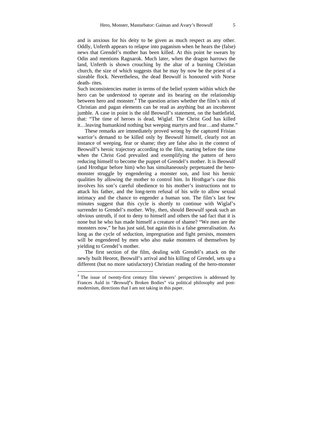and is anxious for his deity to be given as much respect as any other. Oddly, Unferth appears to relapse into paganism when he hears the (false) news that Grendel's mother has been killed. At this point he swears by Odin and mentions Ragnarok. Much later, when the dragon harrows the land, Unferth is shown crouching by the altar of a burning Christian church, the size of which suggests that he may by now be the priest of a sizeable flock. Nevertheless, the dead Beowulf is honoured with Norse death- rites.

Such inconsistencies matter in terms of the belief system within which the hero can be understood to operate and its bearing on the relationship between hero and monster.<sup>4</sup> The question arises whether the film's mix of Christian and pagan elements can be read as anything but an incoherent jumble. A case in point is the old Beowulf's statement, on the battlefield, that: "The time of heroes is dead, Wiglaf. The Christ God has killed it…leaving humankind nothing but weeping martyrs and fear…and shame."

These remarks are immediately proved wrong by the captured Frisian warrior's demand to be killed only by Beowulf himself, clearly not an instance of weeping, fear or shame; they are false also in the context of Beowulf's heroic trajectory according to the film, starting before the time when the Christ God prevailed and exemplifying the pattern of hero reducing himself to become the puppet of Grendel's mother. It is Beowulf (and Hrothgar before him) who has simultaneously perpetuated the heromonster struggle by engendering a monster son, and lost his heroic qualities by allowing the mother to control him. In Hrothgar's case this involves his son's careful obedience to his mother's instructions not to attack his father, and the long-term refusal of his wife to allow sexual intimacy and the chance to engender a human son. The film's last few minutes suggest that this cycle is shortly to continue with Wiglaf's surrender to Grendel's mother. Why, then, should Beowulf speak such an obvious untruth, if not to deny to himself and others the sad fact that it is none but he who has made himself a creature of shame? "We men are the monsters now," he has just said, but again this is a false generalisation. As long as the cycle of seduction, impregnation and fight persists, monsters will be engendered by men who also make monsters of themselves by yielding to Grendel's mother.

The first section of the film, dealing with Grendel's attack on the newly built Heorot, Beowulf's arrival and his killing of Grendel, sets up a different (but no more satisfactory) Christian reading of the hero-monster

 $\overline{a}$ 

<sup>&</sup>lt;sup>4</sup> The issue of twenty-first century film viewers' perspectives is addressed by Frances Auld in "*Beowulf*'s Broken Bodies" via political philosophy and postmodernism, directions that I am not taking in this paper.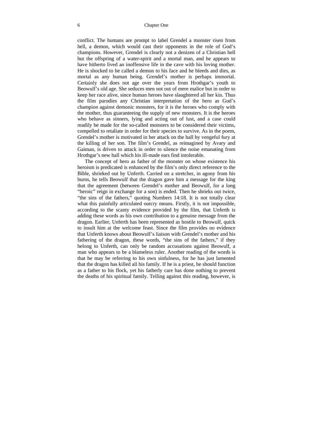conflict. The humans are prompt to label Grendel a monster risen from hell, a demon, which would cast their opponents in the role of God's champions. However, Grendel is clearly not a denizen of a Christian hell but the offspring of a water-spirit and a mortal man, and he appears to have hitherto lived an inoffensive life in the cave with his loving mother. He is shocked to be called a demon to his face and he bleeds and dies, as mortal as any human being. Grendel's mother is perhaps immortal. Certainly she does not age over the years from Hrothgar's youth to Beowulf's old age. She seduces men not out of mere malice but in order to keep her race alive, since human heroes have slaughtered all her kin. Thus the film parodies any Christian interpretation of the hero as God's champion against demonic monsters, for it is the heroes who comply with the mother, thus guaranteeing the supply of new monsters. It is the heroes who behave as sinners, lying and acting out of lust, and a case could readily be made for the so-called monsters to be considered their victims, compelled to retaliate in order for their species to survive. As in the poem, Grendel's mother is motivated in her attack on the hall by vengeful fury at the killing of her son. The film's Grendel, as reimagined by Avary and Gaiman, is driven to attack in order to silence the noise emanating from Hrothgar's new hall which his ill-made ears find intolerable.

The concept of hero as father of the monster on whose existence his heroism is predicated is enhanced by the film's only direct reference to the Bible, shrieked out by Unferth. Carried on a stretcher, in agony from his burns, he tells Beowulf that the dragon gave him a message for the king that the agreement (between Grendel's mother and Beowulf, for a long "heroic" reign in exchange for a son) is ended. Then he shrieks out twice, "the sins of the fathers," quoting Numbers 14:18. It is not totally clear what this painfully articulated outcry means. Firstly, it is not impossible, according to the scanty evidence provided by the film, that Unferth is adding these words as his own contribution to a genuine message from the dragon. Earlier, Unferth has been represented as hostile to Beowulf, quick to insult him at the welcome feast. Since the film provides no evidence that Unferth knows about Beowulf's liaison with Grendel's mother and his fathering of the dragon, these words, "the sins of the fathers," if they belong to Unferth, can only be random accusations against Beowulf, a man who appears to be a blameless ruler. Another reading of the words is that he may be referring to his own sinfulness, for he has just lamented that the dragon has killed all his family. If he is a priest, he should function as a father to his flock, yet his fatherly care has done nothing to prevent the deaths of his spiritual family. Telling against this reading, however, is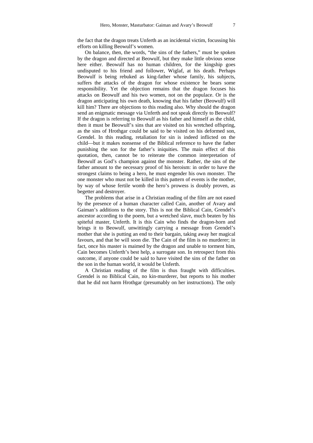the fact that the dragon treats Unferth as an incidental victim, focussing his efforts on killing Beowulf's women.

On balance, then, the words, "the sins of the fathers," must be spoken by the dragon and directed at Beowulf, but they make little obvious sense here either. Beowulf has no human children, for the kingship goes undisputed to his friend and follower, Wiglaf, at his death. Perhaps Beowulf is being rebuked as king-father whose family, his subjects, suffers the attacks of the dragon for whose existence he bears some responsibility. Yet the objection remains that the dragon focuses his attacks on Beowulf and his two women, not on the populace. Or is the dragon anticipating his own death, knowing that his father (Beowulf) will kill him? There are objections to this reading also. Why should the dragon send an enigmatic message via Unferth and not speak directly to Beowulf? If the dragon is referring to Beowulf as his father and himself as the child, then it must be Beowulf's sins that are visited on his wretched offspring, as the sins of Hrothgar could be said to be visited on his deformed son, Grendel. In this reading, retaliation for sin is indeed inflicted on the child—but it makes nonsense of the Biblical reference to have the father punishing the son for the father's iniquities. The main effect of this quotation, then, cannot be to reiterate the common interpretation of Beowulf as God's champion against the monster. Rather, the sins of the father amount to the necessary proof of his heroism: in order to have the strongest claims to being a hero, he must engender his own monster. The one monster who must not be killed in this pattern of events is the mother, by way of whose fertile womb the hero's prowess is doubly proven, as begetter and destroyer.

The problems that arise in a Christian reading of the film are not eased by the presence of a human character called Cain, another of Avary and Gaiman's additions to the story. This is not the Biblical Cain, Grendel's ancestor according to the poem, but a wretched slave, much beaten by his spiteful master, Unferth. It is this Cain who finds the dragon-horn and brings it to Beowulf, unwittingly carrying a message from Grendel's mother that she is putting an end to their bargain, taking away her magical favours, and that he will soon die. The Cain of the film is no murderer; in fact, once his master is maimed by the dragon and unable to torment him, Cain becomes Unferth's best help, a surrogate son. In retrospect from this outcome, if anyone could be said to have visited the sins of the father on the son in the human world, it would be Unferth.

A Christian reading of the film is thus fraught with difficulties. Grendel is no Biblical Cain, no kin-murderer, but reports to his mother that he did not harm Hrothgar (presumably on her instructions). The only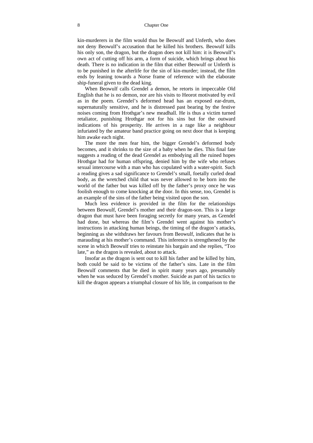#### 8 Chapter One

kin-murderers in the film would thus be Beowulf and Unferth, who does not deny Beowulf's accusation that he killed his brothers. Beowulf kills his only son, the dragon, but the dragon does not kill him: it is Beowulf's own act of cutting off his arm, a form of suicide, which brings about his death. There is no indication in the film that either Beowulf or Unferth is to be punished in the afterlife for the sin of kin-murder; instead, the film ends by leaning towards a Norse frame of reference with the elaborate ship-funeral given to the dead king.

When Beowulf calls Grendel a demon, he retorts in impeccable Old English that he is no demon, nor are his visits to Heorot motivated by evil as in the poem. Grendel's deformed head has an exposed ear-drum, supernaturally sensitive, and he is distressed past bearing by the festive noises coming from Hrothgar's new meadhall. He is thus a victim turned retaliator, punishing Hrothgar not for his sins but for the outward indications of his prosperity. He arrives in a rage like a neighbour infuriated by the amateur band practice going on next door that is keeping him awake each night.

The more the men fear him, the bigger Grendel's deformed body becomes, and it shrinks to the size of a baby when he dies. This final fate suggests a reading of the dead Grendel as embodying all the ruined hopes Hrothgar had for human offspring, denied him by the wife who refuses sexual intercourse with a man who has copulated with a water-spirit. Such a reading gives a sad significance to Grendel's small, foetally curled dead body, as the wretched child that was never allowed to be born into the world of the father but was killed off by the father's proxy once he was foolish enough to come knocking at the door. In this sense, too, Grendel is an example of the sins of the father being visited upon the son.

Much less evidence is provided in the film for the relationships between Beowulf, Grendel's mother and their dragon-son. This is a large dragon that must have been foraging secretly for many years, as Grendel had done, but whereas the film's Grendel went against his mother's instructions in attacking human beings, the timing of the dragon's attacks, beginning as she withdraws her favours from Beowulf, indicates that he is marauding at his mother's command. This inference is strengthened by the scene in which Beowulf tries to reinstate his bargain and she replies, "Too late," as the dragon is revealed, about to attack.

Insofar as the dragon is sent out to kill his father and be killed by him, both could be said to be victims of the father's sins. Late in the film Beowulf comments that he died in spirit many years ago, presumably when he was seduced by Grendel's mother. Suicide as part of his tactics to kill the dragon appears a triumphal closure of his life, in comparison to the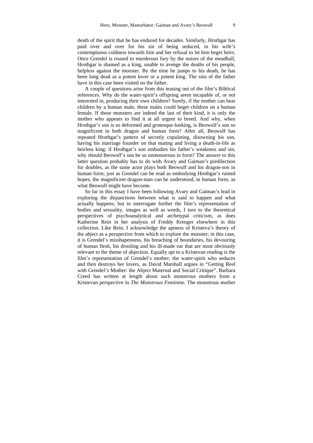death of the spirit that he has endured for decades. Similarly, Hrothgar has paid over and over for his sin of being seduced, in his wife's contemptuous coldness towards him and her refusal to let him beget heirs. Once Grendel is roused to murderous fury by the noises of the meadhall, Hrothgar is shamed as a king, unable to avenge the deaths of his people, helpless against the monster. By the time he jumps to his death, he has been long dead as a potent lover or a potent king. The sins of the father have in this case been visited on the father.

A couple of questions arise from this teasing out of the film's Biblical references. Why do the water-spirit's offspring seem incapable of, or not interested in, producing their own children? Surely, if the mother can bear children by a human male, these males could beget children on a human female. If these monsters are indeed the last of their kind, it is only the mother who appears to find it at all urgent to breed. And why, when Hrothgar's son is so deformed and grotesque-looking, is Beowulf's son so magnificent in both dragon and human form? After all, Beowulf has repeated Hrothgar's pattern of secretly copulating, disowning his son, having his marriage founder on that mating and living a death-in-life as heirless king: if Hrothgar's son embodies his father's weakness and sin, why should Beowulf's son be so unmonstrous in form? The answer to this latter question probably has to do with Avary and Gaiman's predilection for doubles, as the same actor plays both Beowulf and his dragon-son in human form; just as Grendel can be read as embodying Hrothgar's ruined hopes, the magnificent dragon-man can be understood, in human form, as what Beowulf might have become.

So far in this essay I have been following Avary and Gaiman's lead in exploring the disjunctions between what is said to happen and what actually happens; but to interrogate further the film's representation of bodies and sexuality, images as well as words, I turn to the theoretical perspectives of psychoanalytical and archetypal criticism, as does Katherine Rein in her analysis of Freddy Kreuger elsewhere in this collection. Like Rein, I acknowledge the aptness of Kristeva's theory of the abject as a perspective from which to explore the monster; in this case, it is Grendel's misshapenness, his breaching of boundaries, his devouring of human flesh, his drooling and his ill-made ear that are most obviously relevant to the theme of abjection. Equally apt to a Kristevan reading is the film's representation of Grendel's mother, the water-spirit who seduces and then destroys her lovers, as David Marshall argues in "Getting Reel with Grendel's Mother: the Abject Maternal and Social Critique". Barbara Creed has written at length about such monstrous mothers from a Kristevan perspective in *The Monstrous Feminine*. The monstrous mother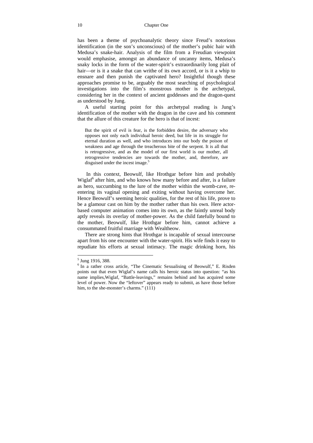has been a theme of psychoanalytic theory since Freud's notorious identification (in the son's unconscious) of the mother's pubic hair with Medusa's snake-hair. Analysis of the film from a Freudian viewpoint would emphasise, amongst an abundance of uncanny items, Medusa's snaky locks in the form of the water-spirit's extraordinarily long plait of hair—or is it a snake that can writhe of its own accord, or is it a whip to ensnare and then punish the captivated hero? Insightful though these approaches promise to be, arguably the most searching of psychological investigations into the film's monstrous mother is the archetypal, considering her in the context of ancient goddesses and the dragon-quest as understood by Jung.

A useful starting point for this archetypal reading is Jung's identification of the mother with the dragon in the cave and his comment that the allure of this creature for the hero is that of incest:

But the spirit of evil is fear, is the forbidden desire, the adversary who opposes not only each individual heroic deed, but life in its struggle for eternal duration as well, and who introduces into our body the poison of weakness and age through the treacherous bite of the serpent. It is all that is retrogressive, and as the model of our first world is our mother, all retrogressive tendencies are towards the mother, and, therefore, are disguised under the incest image.<sup>5</sup>

 In this context, Beowulf, like Hrothgar before him and probably Wiglaf<sup>6</sup> after him, and who knows how many before and after, is a failure as hero, succumbing to the lure of the mother within the womb-cave, reentering its vaginal opening and exiting without having overcome her. Hence Beowulf's seeming heroic qualities, for the rest of his life, prove to be a glamour cast on him by the mother rather than his own. Here actorbased computer animation comes into its own, as the faintly unreal body aptly reveals its overlay of mother-power. As the child fatefully bound to the mother, Beowulf, like Hrothgar before him, cannot achieve a consummated fruitful marriage with Wealtheow.

There are strong hints that Hrothgar is incapable of sexual intercourse apart from his one encounter with the water-spirit. His wife finds it easy to repudiate his efforts at sexual intimacy. The magic drinking horn, his

<sup>5</sup> Jung 1916, 388.

<sup>&</sup>lt;sup>6</sup> In a rather cross article, "The Cinematic Sexualising of Beowulf," E. Risden points out that even Wiglaf's name calls his heroic status into question: "as his name implies,Wiglaf, "Battle-leavings," remains behind and has acquired some level of power. Now the "leftover" appears ready to submit, as have those before him, to the she-monster's charms." (111)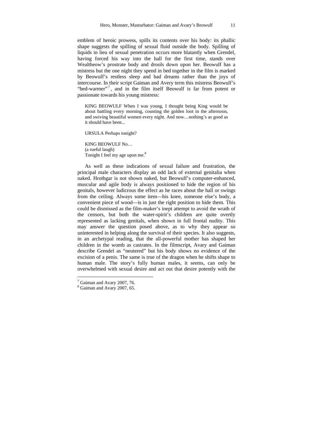emblem of heroic prowess, spills its contents over his body: its phallic shape suggests the spilling of sexual fluid outside the body. Spilling of liquids in lieu of sexual penetration occurs more blatantly when Grendel, having forced his way into the hall for the first time, stands over Wealtheow's prostrate body and drools down upon her. Beowulf has a mistress but the one night they spend in bed together in the film is marked by Beowulf's restless sleep and bad dreams rather than the joys of intercourse. In their script Gaiman and Avery term this mistress Beowulf's "bed-warmer"<sup>7</sup>, and in the film itself Beowulf is far from potent or passionate towards his young mistress:

KING BEOWULF When I was young, I thought being King would be about battling every morning, counting the golden loot in the afternoon, and swiving beautiful women every night. And now…nothing's as good as it should have been.

URSULA Perhaps tonight?

KING BEOWULF No… (a rueful laugh) Tonight I feel my age upon me.<sup>8</sup>

As well as these indications of sexual failure and frustration, the principal male characters display an odd lack of external genitalia when naked. Hrothgar is not shown naked, but Beowulf's computer-enhanced, muscular and agile body is always positioned to hide the region of his genitals, however ludicrous the effect as he races about the hall or swings from the ceiling. Always some item—his knee, someone else's body, a convenient piece of wood—is in just the right position to hide them. This could be dismissed as the film-maker's inept attempt to avoid the wrath of the censors, but both the water-spirit's children are quite overtly represented as lacking genitals, when shown in full frontal nudity. This may answer the question posed above, as to why they appear so uninterested in helping along the survival of their species. It also suggests, in an archetypal reading, that the all-powerful mother has shaped her children in the womb as castrates. In the filmscript, Avary and Gaiman describe Grendel as "neutered" but his body shows no evidence of the excision of a penis. The same is true of the dragon when he shifts shape to human male. The story's fully human males, it seems, can only be overwhelmed with sexual desire and act out that desire potently with the

 $\overline{a}$ 

 $7$  Gaiman and Avary 2007, 76.

<sup>&</sup>lt;sup>8</sup> Gaiman and Avary 2007, 65.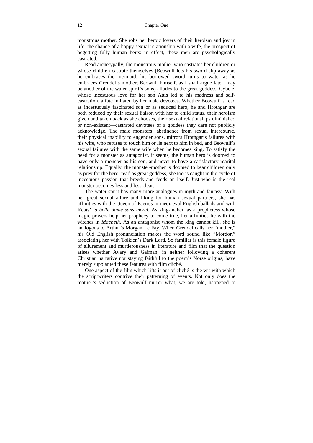monstrous mother. She robs her heroic lovers of their heroism and joy in life, the chance of a happy sexual relationship with a wife, the prospect of begetting fully human heirs: in effect, these men are psychologically castrated.

Read archetypally, the monstrous mother who castrates her children or whose children castrate themselves (Beowulf lets his sword slip away as he embraces the mermaid; his borrowed sword turns to water as he embraces Grendel's mother; Beowulf himself, as I shall argue later, may be another of the water-spirit's sons) alludes to the great goddess, Cybele, whose incestuous love for her son Attis led to his madness and selfcastration, a fate imitated by her male devotees. Whether Beowulf is read as incestuously fascinated son or as seduced hero, he and Hrothgar are both reduced by their sexual liaison with her to child status, their heroism given and taken back as she chooses, their sexual relationships diminished or non-existent—castrated devotees of a goddess they dare not publicly acknowledge. The male monsters' abstinence from sexual intercourse, their physical inability to engender sons, mirrors Hrothgar's failures with his wife, who refuses to touch him or lie next to him in bed, and Beowulf's sexual failures with the same wife when he becomes king. To satisfy the need for a monster as antagonist, it seems, the human hero is doomed to have only a monster as his son, and never to have a satisfactory marital relationship. Equally, the monster-mother is doomed to bear children only as prey for the hero; read as great goddess, she too is caught in the cycle of incestuous passion that breeds and feeds on itself. Just who is the real monster becomes less and less clear.

The water-spirit has many more analogues in myth and fantasy. With her great sexual allure and liking for human sexual partners, she has affinities with the Queen of Faeries in mediaeval English ballads and with Keats' *la belle dame sans merci*. As king-maker, as a prophetess whose magic powers help her prophecy to come true, her affinities lie with the witches in *Macbeth*. As an antagonist whom the king cannot kill, she is analogous to Arthur's Morgan Le Fay. When Grendel calls her "mother," his Old English pronunciation makes the word sound like "Mordor," associating her with Tolkien's Dark Lord. So familiar is this female figure of allurement and murderousness in literature and film that the question arises whether Avary and Gaiman, in neither following a coherent Christian narrative nor staying faithful to the poem's Norse origins, have merely supplanted these features with film cliché.

One aspect of the film which lifts it out of cliché is the wit with which the scriptwriters contrive their patterning of events. Not only does the mother's seduction of Beowulf mirror what, we are told, happened to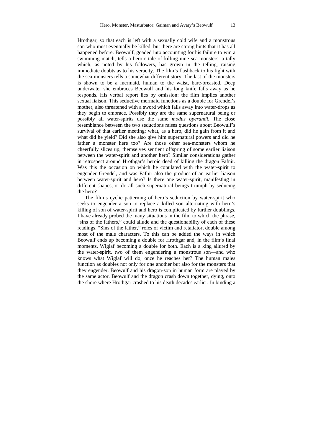Hrothgar, so that each is left with a sexually cold wife and a monstrous son who must eventually be killed, but there are strong hints that it has all happened before. Beowulf, goaded into accounting for his failure to win a swimming match, tells a heroic tale of killing nine sea-monsters, a tally which, as noted by his followers, has grown in the telling, raising immediate doubts as to his veracity. The film's flashback to his fight with the sea-monsters tells a somewhat different story. The last of the monsters is shown to be a mermaid, human to the waist, bare-breasted. Deep underwater she embraces Beowulf and his long knife falls away as he responds. His verbal report lies by omission: the film implies another sexual liaison. This seductive mermaid functions as a double for Grendel's mother, also threatened with a sword which falls away into water-drops as they begin to embrace. Possibly they are the same supernatural being or possibly all water-spirits use the same *modus operandi*. The close resemblance between the two seductions raises questions about Beowulf's survival of that earlier meeting: what, as a hero, did he gain from it and what did he yield? Did she also give him supernatural powers and did he father a monster here too? Are those other sea-monsters whom he cheerfully slices up, themselves sentient offspring of some earlier liaison between the water-spirit and another hero? Similar considerations gather in retrospect around Hrothgar's heroic deed of killing the dragon Fafnir. Was this the occasion on which he copulated with the water-spirit to engender Grendel, and was Fafnir also the product of an earlier liaison between water-spirit and hero? Is there one water-spirit, manifesting in different shapes, or do all such supernatural beings triumph by seducing the hero?

The film's cyclic patterning of hero's seduction by water-spirit who seeks to engender a son to replace a killed son alternating with hero's killing of son of water-spirit and hero is complicated by further doublings. I have already probed the many situations in the film to which the phrase, "sins of the fathers," could allude and the questionability of each of these readings. "Sins of the father," roles of victim and retaliator, double among most of the male characters. To this can be added the ways in which Beowulf ends up becoming a double for Hrothgar and, in the film's final moments, Wiglaf becoming a double for both. Each is a king allured by the water-spirit, two of them engendering a monstrous son—and who knows what Wiglaf will do, once he reaches her? The human males function as doubles not only for one another but also for the monsters that they engender. Beowulf and his dragon-son in human form are played by the same actor. Beowulf and the dragon crash down together, dying, onto the shore where Hrothgar crashed to his death decades earlier. In binding a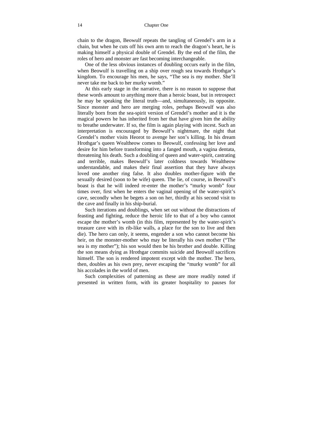chain to the dragon, Beowulf repeats the tangling of Grendel's arm in a chain, but when he cuts off his own arm to reach the dragon's heart, he is making himself a physical double of Grendel. By the end of the film, the roles of hero and monster are fast becoming interchangeable.

One of the less obvious instances of doubling occurs early in the film, when Beowulf is travelling on a ship over rough sea towards Hrothgar's kingdom. To encourage his men, he says, "The sea is my mother. She'll never take me back to her murky womb."

At this early stage in the narrative, there is no reason to suppose that these words amount to anything more than a heroic boast, but in retrospect he may be speaking the literal truth—and, simultaneously, its opposite. Since monster and hero are merging roles, perhaps Beowulf was also literally born from the sea-spirit version of Grendel's mother and it is the magical powers he has inherited from her that have given him the ability to breathe underwater. If so, the film is again playing with incest. Such an interpretation is encouraged by Beowulf's nightmare, the night that Grendel's mother visits Heorot to avenge her son's killing. In his dream Hrothgar's queen Wealtheow comes to Beowulf, confessing her love and desire for him before transforming into a fanged mouth, a vagina dentata, threatening his death. Such a doubling of queen and water-spirit, castrating and terrible, makes Beowulf's later coldness towards Wealtheow understandable, and makes their final assertion that they have always loved one another ring false. It also doubles mother-figure with the sexually desired (soon to be wife) queen. The lie, of course, in Beowulf's boast is that he will indeed re-enter the mother's "murky womb" four times over, first when he enters the vaginal opening of the water-spirit's cave, secondly when he begets a son on her, thirdly at his second visit to the cave and finally in his ship-burial.

Such iterations and doublings, when set out without the distractions of feasting and fighting, reduce the heroic life to that of a boy who cannot escape the mother's womb (in this film, represented by the water-spirit's treasure cave with its rib-like walls, a place for the son to live and then die). The hero can only, it seems, engender a son who cannot become his heir, on the monster-mother who may be literally his own mother ("The sea is my mother"); his son would then be his brother and double. Killing the son means dying as Hrothgar commits suicide and Beowulf sacrifices himself. The son is rendered impotent except with the mother. The hero, then, doubles as his own prey, never escaping the "murky womb" for all his accolades in the world of men.

Such complexities of patterning as these are more readily noted if presented in written form, with its greater hospitality to pauses for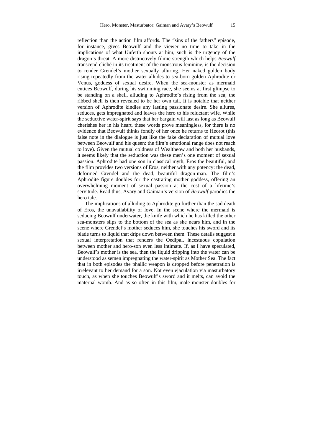reflection than the action film affords. The "sins of the fathers" episode, for instance, gives Beowulf and the viewer no time to take in the implications of what Unferth shouts at him, such is the urgency of the dragon's threat. A more distinctively filmic strength which helps *Beowulf*  transcend cliché in its treatment of the monstrous feminine, is the decision to render Grendel's mother sexually alluring. Her naked golden body rising repeatedly from the water alludes to sea-born golden Aphrodite or Venus, goddess of sexual desire. When the sea-monster as mermaid entices Beowulf, during his swimming race, she seems at first glimpse to be standing on a shell, alluding to Aphrodite's rising from the sea; the ribbed shell is then revealed to be her own tail. It is notable that neither version of Aphrodite kindles any lasting passionate desire. She allures, seduces, gets impregnated and leaves the hero to his reluctant wife. While the seductive water-spirit says that her bargain will last as long as Beowulf cherishes her in his heart, these words prove meaningless, for there is no evidence that Beowulf thinks fondly of her once he returns to Heorot (this false note in the dialogue is just like the fake declaration of mutual love between Beowulf and his queen: the film's emotional range does not reach to love). Given the mutual coldness of Wealtheow and both her husbands, it seems likely that the seduction was these men's one moment of sexual passion. Aphrodite had one son in classical myth, Eros the beautiful, and the film provides two versions of Eros, neither with any potency: the dead, deformed Grendel and the dead, beautiful dragon-man. The film's Aphrodite figure doubles for the castrating mother goddess, offering an overwhelming moment of sexual passion at the cost of a lifetime's servitude. Read thus, Avary and Gaiman's version of *Beowulf* parodies the hero tale.

The implications of alluding to Aphrodite go further than the sad death of Eros, the unavailability of love. In the scene where the mermaid is seducing Beowulf underwater, the knife with which he has killed the other sea-monsters slips to the bottom of the sea as she nears him, and in the scene where Grendel's mother seduces him, she touches his sword and its blade turns to liquid that drips down between them. These details suggest a sexual interpretation that renders the Oedipal, incestuous copulation between mother and hero-son even less intimate. If, as I have speculated, Beowulf's mother is the sea, then the liquid dripping into the water can be understood as semen impregnating the water-spirit as Mother Sea. The fact that in both episodes the phallic weapon is dropped before penetration is irrelevant to her demand for a son. Not even ejaculation via masturbatory touch, as when she touches Beowulf's sword and it melts, can avoid the maternal womb. And as so often in this film, male monster doubles for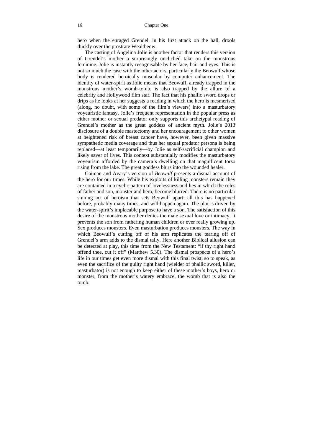hero when the enraged Grendel, in his first attack on the hall, drools thickly over the prostrate Wealtheow.

The casting of Angelina Jolie is another factor that renders this version of Grendel's mother a surprisingly unclichéd take on the monstrous feminine. Jolie is instantly recognisable by her face, hair and eyes. This is not so much the case with the other actors, particularly the Beowulf whose body is rendered heroically muscular by computer enhancement. The identity of water-spirit as Jolie means that Beowulf, already trapped in the monstrous mother's womb-tomb, is also trapped by the allure of a celebrity and Hollywood film star. The fact that his phallic sword drops or drips as he looks at her suggests a reading in which the hero is mesmerised (along, no doubt, with some of the film's viewers) into a masturbatory voyeuristic fantasy. Jolie's frequent representation in the popular press as either mother or sexual predator only supports this archetypal reading of Grendel's mother as the great goddess of ancient myth. Jolie's 2013 disclosure of a double mastectomy and her encouragement to other women at heightened risk of breast cancer have, however, been given massive sympathetic media coverage and thus her sexual predator persona is being replaced—at least temporarily—by Jolie as self-sacrificial champion and likely saver of lives. This context substantially modifies the masturbatory voyeurism afforded by the camera's dwelling on that magnificent torso rising from the lake. The great goddess blurs into the wounded healer.

Gaiman and Avary's version of *Beowulf* presents a dismal account of the hero for our times. While his exploits of killing monsters remain they are contained in a cyclic pattern of lovelessness and lies in which the roles of father and son, monster and hero, become blurred. There is no particular shining act of heroism that sets Beowulf apart: all this has happened before, probably many times, and will happen again. The plot is driven by the water-spirit's implacable purpose to have a son. The satisfaction of this desire of the monstrous mother denies the male sexual love or intimacy. It prevents the son from fathering human children or ever really growing up. Sex produces monsters. Even masturbation produces monsters. The way in which Beowulf's cutting off of his arm replicates the tearing off of Grendel's arm adds to the dismal tally. Here another Biblical allusion can be detected at play, this time from the New Testament: "if thy right hand offend thee, cut it off" (Matthew 5.30). The dismal prospects of a hero's life in our times get even more dismal with this final twist, so to speak, as even the sacrifice of the guilty right hand (wielder of phallic sword, killer, masturbator) is not enough to keep either of these mother's boys, hero or monster, from the mother's watery embrace, the womb that is also the tomb.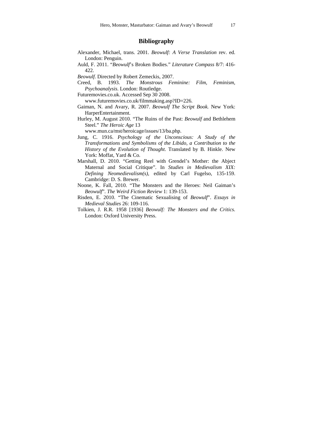#### **Bibliography**

- Alexander, Michael, trans. 2001. *Beowulf: A Verse Translation* rev. ed. London: Penguin.
- Auld, F. 2011. "*Beowulf*'s Broken Bodies." *Literature Compass* 8/7: 416- 422.
- *Beowulf*. Directed by Robert Zemeckis, 2007.
- Creed, B. 1993. *The Monstrous Feminine: Film, Feminism, Psychoanalysis*. London: Routledge.
- Futuremovies.co.uk. Accessed Sep 30 2008. www.futuremovies.co.uk/filmmaking.asp?ID=226.
- Gaiman, N. and Avary, R. 2007. *Beowulf The Script Book.* New York: HarperEntertainment.
- Hurley, M. August 2010. "The Ruins of the Past: *Beowulf* and Bethlehem Steel." *The Heroic Age* 13

www.mun.ca/mst/heroicage/issues/13/ba.php.

- Jung, C. 1916. *Psychology of the Unconscious: A Study of the Transformations and Symbolisms of the Libido, a Contribution to the History of the Evolution of Thought*. Translated by B. Hinkle. New York: Moffat, Yard & Co.
- Marshall, D. 2010. "Getting Reel with Grendel's Mother: the Abject Maternal and Social Critique". In *Studies in Medievalism XIX: Defining Neomedievalism(s)*, edited by Carl Fugelso, 135-159. Cambridge: D. S. Brewer.
- Noone, K. Fall, 2010. "The Monsters and the Heroes: Neil Gaiman's *Beowulf*". *The Weird Fiction Review* 1: 139-153.
- Risden, E. 2010. "The Cinematic Sexualising of *Beowulf*". *Essays in Medieval Studies* 26: 109-116.
- Tolkien, J. R.R. 1958 [1936] *Beowulf: The Monsters and the Critics.* London: Oxford University Press.